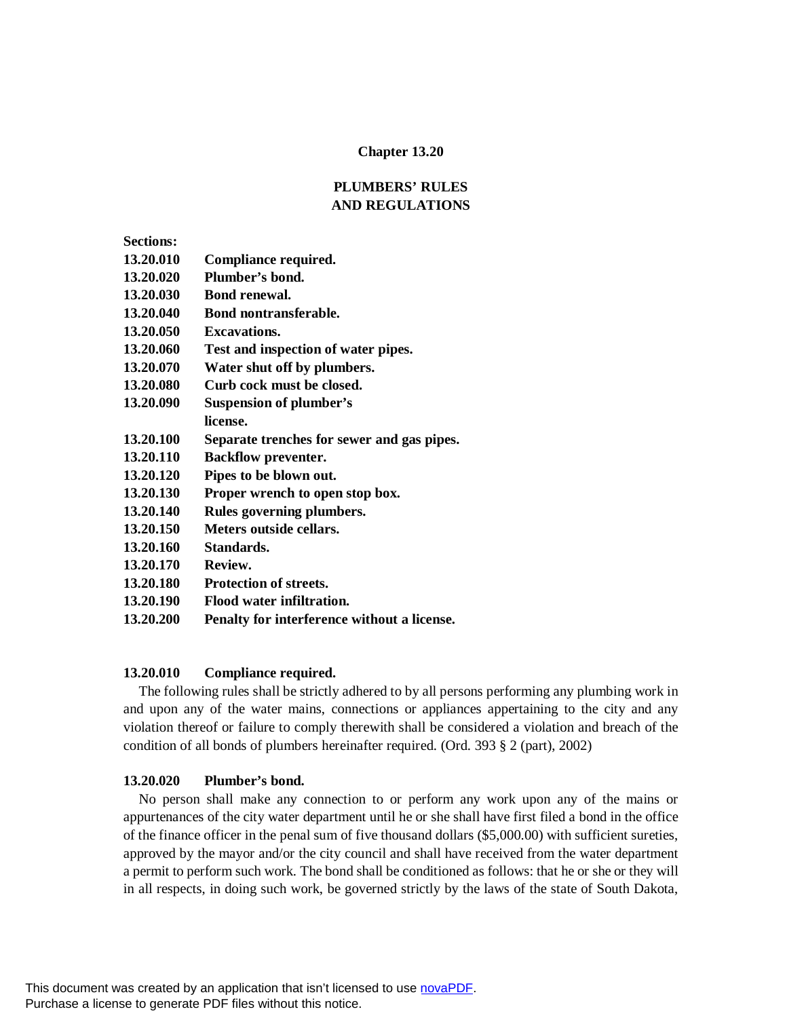### **Chapter 13.20**

# **PLUMBERS' RULES AND REGULATIONS**

| <b>Sections:</b> |                                            |
|------------------|--------------------------------------------|
| 13.20.010        | Compliance required.                       |
| 13.20.020        | Plumber's bond.                            |
| 13.20.030        | <b>Bond renewal.</b>                       |
| 13.20.040        | <b>Bond nontransferable.</b>               |
| 13.20.050        | Excavations.                               |
| 13.20.060        | Test and inspection of water pipes.        |
| 13.20.070        | Water shut off by plumbers.                |
| 13.20.080        | Curb cock must be closed.                  |
| 13.20.090        | <b>Suspension of plumber's</b>             |
|                  | license.                                   |
| 13.20.100        | Separate trenches for sewer and gas pipes. |
| 13.20.110        | <b>Backflow preventer.</b>                 |
| 13.20.120        | Pipes to be blown out.                     |
| 13.20.130        | Proper wrench to open stop box.            |
| 13.20.140        | Rules governing plumbers.                  |
| 13.20.150        | Meters outside cellars.                    |
| 13.20.160        | Standards.                                 |
| 13.20.170        | Review.                                    |
| 13.20.180        | <b>Protection of streets.</b>              |

- **13.20.190 Flood water infiltration.**
- **13.20.200 Penalty for interference without a license.**

#### **13.20.010 Compliance required.**

The following rules shall be strictly adhered to by all persons performing any plumbing work in and upon any of the water mains, connections or appliances appertaining to the city and any violation thereof or failure to comply therewith shall be considered a violation and breach of the condition of all bonds of plumbers hereinafter required. (Ord. 393 § 2 (part), 2002)

#### **13.20.020 Plumber's bond.**

No person shall make any connection to or perform any work upon any of the mains or appurtenances of the city water department until he or she shall have first filed a bond in the office of the finance officer in the penal sum of five thousand dollars (\$5,000.00) with sufficient sureties, approved by the mayor and/or the city council and shall have received from the water department a permit to perform such work. The bond shall be conditioned as follows: that he or she or they will in all respects, in doing such work, be governed strictly by the laws of the state of South Dakota,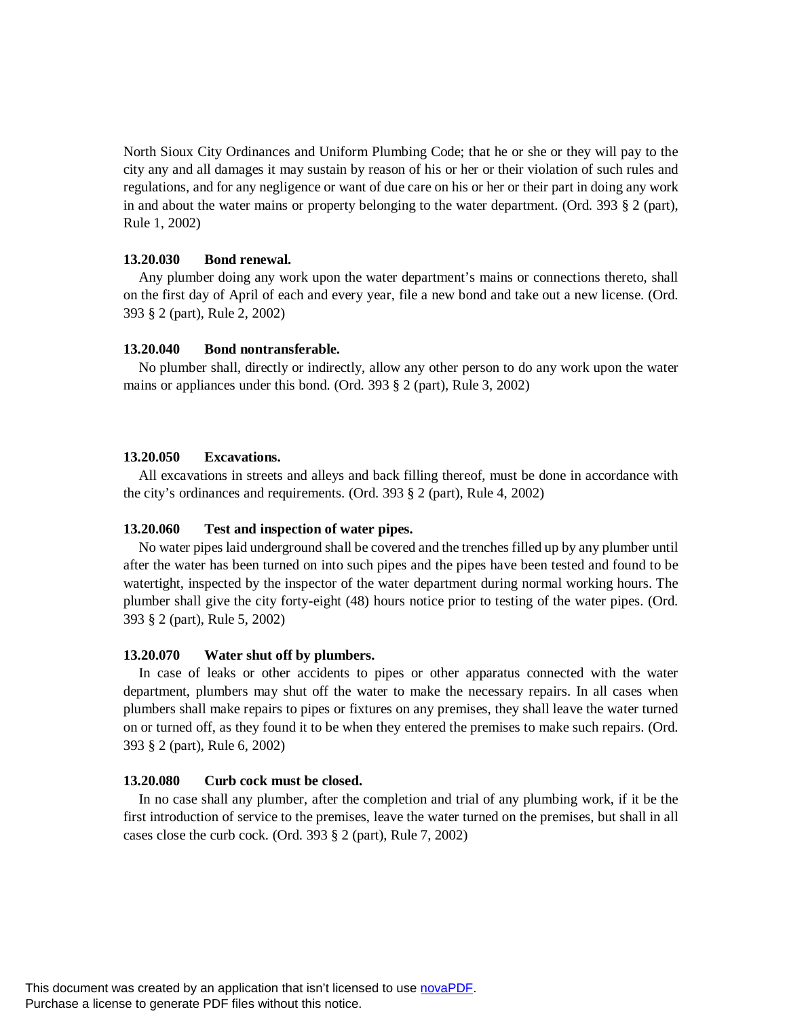North Sioux City Ordinances and Uniform Plumbing Code; that he or she or they will pay to the city any and all damages it may sustain by reason of his or her or their violation of such rules and regulations, and for any negligence or want of due care on his or her or their part in doing any work in and about the water mains or property belonging to the water department. (Ord. 393 § 2 (part), Rule 1, 2002)

### **13.20.030 Bond renewal.**

Any plumber doing any work upon the water department's mains or connections thereto, shall on the first day of April of each and every year, file a new bond and take out a new license. (Ord. 393 § 2 (part), Rule 2, 2002)

## **13.20.040 Bond nontransferable.**

No plumber shall, directly or indirectly, allow any other person to do any work upon the water mains or appliances under this bond. (Ord. 393 § 2 (part), Rule 3, 2002)

### **13.20.050 Excavations.**

All excavations in streets and alleys and back filling thereof, must be done in accordance with the city's ordinances and requirements. (Ord. 393 § 2 (part), Rule 4, 2002)

## **13.20.060 Test and inspection of water pipes.**

No water pipes laid underground shall be covered and the trenches filled up by any plumber until after the water has been turned on into such pipes and the pipes have been tested and found to be watertight, inspected by the inspector of the water department during normal working hours. The plumber shall give the city forty-eight (48) hours notice prior to testing of the water pipes. (Ord. 393 § 2 (part), Rule 5, 2002)

## **13.20.070 Water shut off by plumbers.**

In case of leaks or other accidents to pipes or other apparatus connected with the water department, plumbers may shut off the water to make the necessary repairs. In all cases when plumbers shall make repairs to pipes or fixtures on any premises, they shall leave the water turned on or turned off, as they found it to be when they entered the premises to make such repairs. (Ord. 393 § 2 (part), Rule 6, 2002)

## **13.20.080 Curb cock must be closed.**

In no case shall any plumber, after the completion and trial of any plumbing work, if it be the first introduction of service to the premises, leave the water turned on the premises, but shall in all cases close the curb cock. (Ord. 393 § 2 (part), Rule 7, 2002)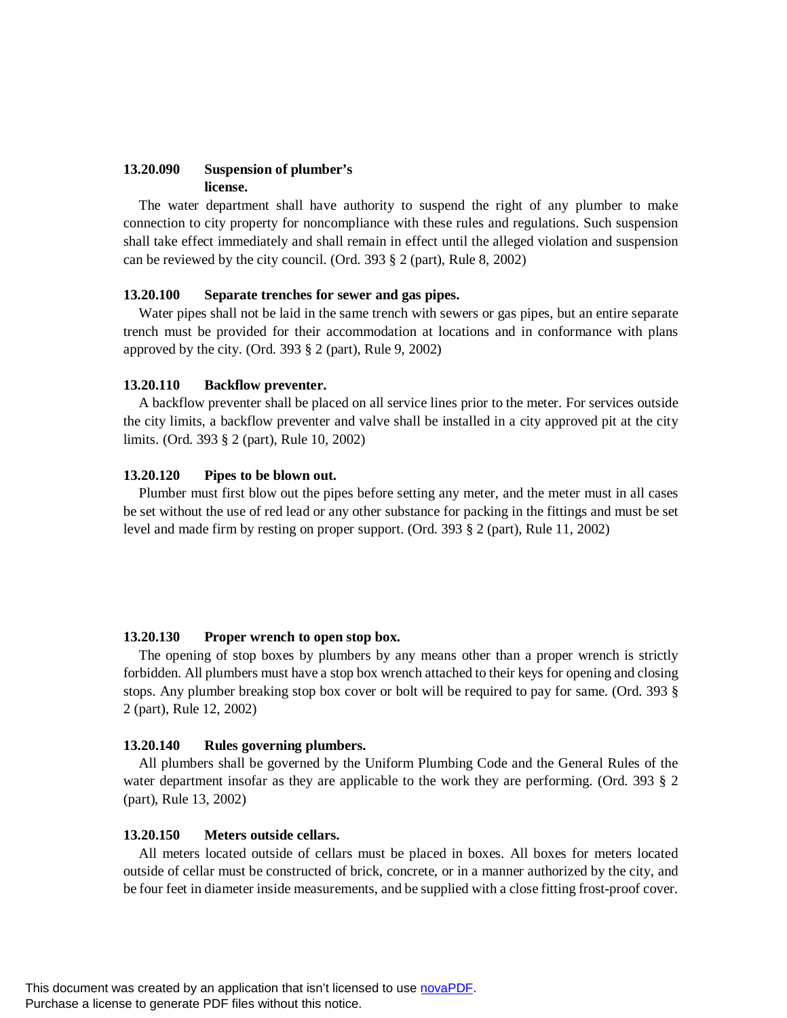### **13.20.090 Suspension of plumber's license.**

The water department shall have authority to suspend the right of any plumber to make connection to city property for noncompliance with these rules and regulations. Such suspension shall take effect immediately and shall remain in effect until the alleged violation and suspension can be reviewed by the city council. (Ord. 393 § 2 (part), Rule 8, 2002)

### **13.20.100 Separate trenches for sewer and gas pipes.**

Water pipes shall not be laid in the same trench with sewers or gas pipes, but an entire separate trench must be provided for their accommodation at locations and in conformance with plans approved by the city. (Ord.  $393 \text{ }$  \$ 2 (part), Rule 9, 2002)

### **13.20.110 Backflow preventer.**

A backflow preventer shall be placed on all service lines prior to the meter. For services outside the city limits, a backflow preventer and valve shall be installed in a city approved pit at the city limits. (Ord. 393 § 2 (part), Rule 10, 2002)

### **13.20.120 Pipes to be blown out.**

Plumber must first blow out the pipes before setting any meter, and the meter must in all cases be set without the use of red lead or any other substance for packing in the fittings and must be set level and made firm by resting on proper support. (Ord. 393 § 2 (part), Rule 11, 2002)

#### **13.20.130 Proper wrench to open stop box.**

The opening of stop boxes by plumbers by any means other than a proper wrench is strictly forbidden. All plumbers must have a stop box wrench attached to their keys for opening and closing stops. Any plumber breaking stop box cover or bolt will be required to pay for same. (Ord. 393 § 2 (part), Rule 12, 2002)

### **13.20.140 Rules governing plumbers.**

All plumbers shall be governed by the Uniform Plumbing Code and the General Rules of the water department insofar as they are applicable to the work they are performing. (Ord. 393 § 2 (part), Rule 13, 2002)

#### **13.20.150 Meters outside cellars.**

All meters located outside of cellars must be placed in boxes. All boxes for meters located outside of cellar must be constructed of brick, concrete, or in a manner authorized by the city, and be four feet in diameter inside measurements, and be supplied with a close fitting frost-proof cover.